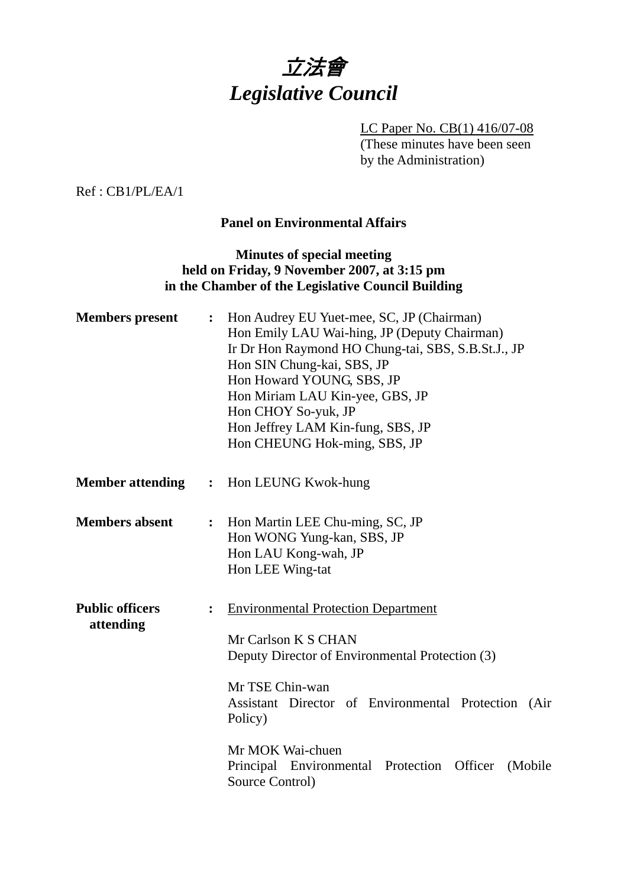

LC Paper No. CB(1) 416/07-08 (These minutes have been seen by the Administration)

Ref : CB1/PL/EA/1

#### **Panel on Environmental Affairs**

#### **Minutes of special meeting held on Friday, 9 November 2007, at 3:15 pm in the Chamber of the Legislative Council Building**

| <b>Members</b> present              | :              | Hon Audrey EU Yuet-mee, SC, JP (Chairman)<br>Hon Emily LAU Wai-hing, JP (Deputy Chairman)<br>Ir Dr Hon Raymond HO Chung-tai, SBS, S.B.St.J., JP<br>Hon SIN Chung-kai, SBS, JP<br>Hon Howard YOUNG, SBS, JP<br>Hon Miriam LAU Kin-yee, GBS, JP<br>Hon CHOY So-yuk, JP<br>Hon Jeffrey LAM Kin-fung, SBS, JP<br>Hon CHEUNG Hok-ming, SBS, JP |
|-------------------------------------|----------------|-------------------------------------------------------------------------------------------------------------------------------------------------------------------------------------------------------------------------------------------------------------------------------------------------------------------------------------------|
| <b>Member attending</b>             |                | : Hon LEUNG Kwok-hung                                                                                                                                                                                                                                                                                                                     |
| <b>Members absent</b>               | $\ddot{\cdot}$ | Hon Martin LEE Chu-ming, SC, JP<br>Hon WONG Yung-kan, SBS, JP<br>Hon LAU Kong-wah, JP<br>Hon LEE Wing-tat                                                                                                                                                                                                                                 |
| <b>Public officers</b><br>attending | $\ddot{\cdot}$ | <b>Environmental Protection Department</b><br>Mr Carlson K S CHAN<br>Deputy Director of Environmental Protection (3)<br>Mr TSE Chin-wan<br>Assistant Director of Environmental Protection (Air<br>Policy)                                                                                                                                 |
|                                     |                | Mr MOK Wai-chuen<br>Principal Environmental Protection<br>Officer<br>(Mobile)<br>Source Control)                                                                                                                                                                                                                                          |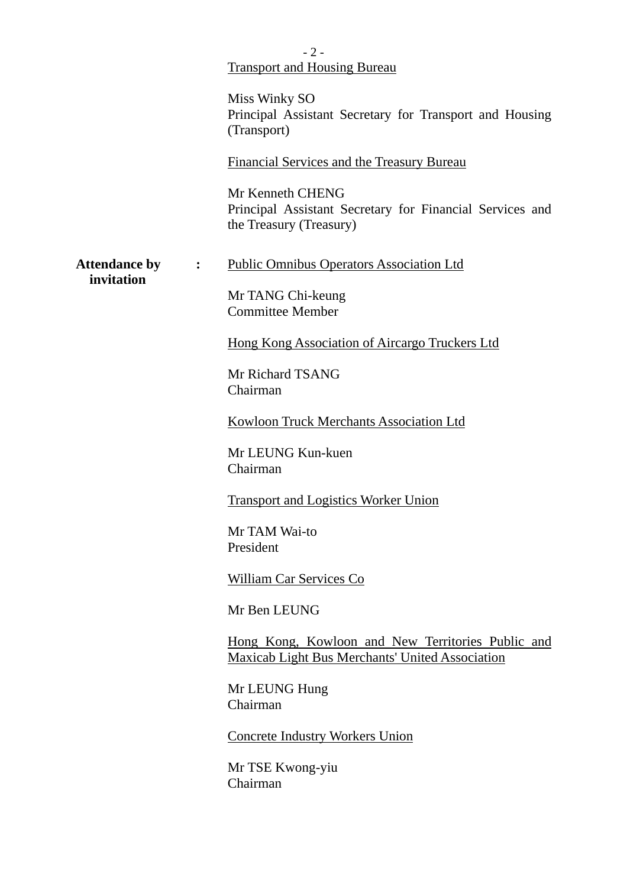|                                                    | $-2-$<br><b>Transport and Housing Bureau</b>                                                                |
|----------------------------------------------------|-------------------------------------------------------------------------------------------------------------|
|                                                    | Miss Winky SO                                                                                               |
|                                                    | Principal Assistant Secretary for Transport and Housing<br>(Transport)                                      |
|                                                    | Financial Services and the Treasury Bureau                                                                  |
|                                                    | Mr Kenneth CHENG<br>Principal Assistant Secretary for Financial Services and<br>the Treasury (Treasury)     |
| <b>Attendance by</b><br>$\mathbf{L}$<br>invitation | <b>Public Omnibus Operators Association Ltd</b>                                                             |
|                                                    | Mr TANG Chi-keung<br><b>Committee Member</b>                                                                |
|                                                    | Hong Kong Association of Aircargo Truckers Ltd                                                              |
|                                                    | Mr Richard TSANG<br>Chairman                                                                                |
|                                                    | <b>Kowloon Truck Merchants Association Ltd</b>                                                              |
|                                                    | Mr LEUNG Kun-kuen<br>Chairman                                                                               |
|                                                    | <b>Transport and Logistics Worker Union</b>                                                                 |
|                                                    | Mr TAM Wai-to<br>President                                                                                  |
|                                                    | William Car Services Co                                                                                     |
|                                                    | Mr Ben LEUNG                                                                                                |
|                                                    | Hong Kong, Kowloon and New Territories Public and<br><b>Maxicab Light Bus Merchants' United Association</b> |
|                                                    | Mr LEUNG Hung<br>Chairman                                                                                   |
|                                                    | <b>Concrete Industry Workers Union</b>                                                                      |
|                                                    | Mr TSE Kwong-yiu<br>Chairman                                                                                |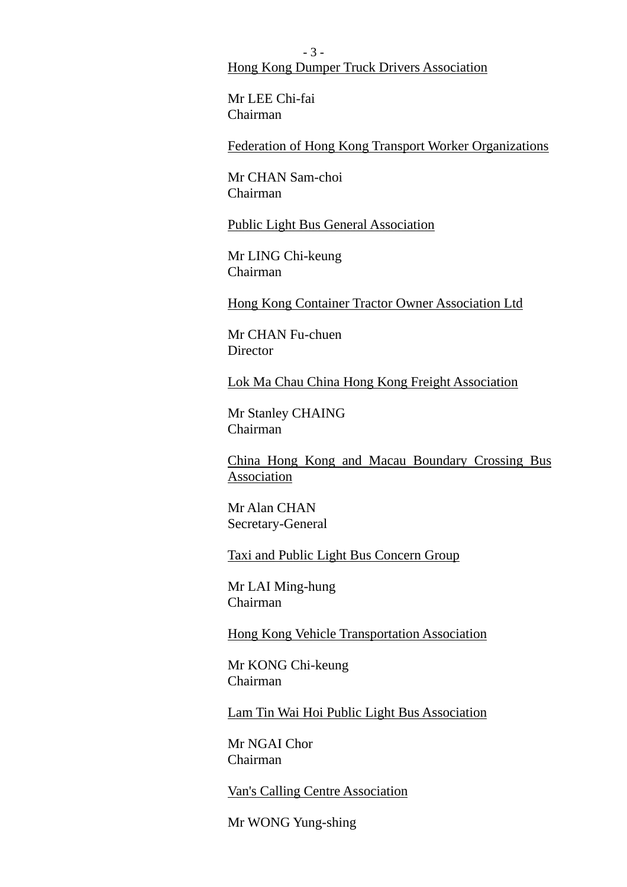- 3 - Hong Kong Dumper Truck Drivers Association

Mr LEE Chi-fai Chairman

Federation of Hong Kong Transport Worker Organizations

Mr CHAN Sam-choi Chairman

Public Light Bus General Association

Mr LING Chi-keung Chairman

Hong Kong Container Tractor Owner Association Ltd

Mr CHAN Fu-chuen **Director** 

Lok Ma Chau China Hong Kong Freight Association

Mr Stanley CHAING Chairman

China Hong Kong and Macau Boundary Crossing Bus Association

Mr Alan CHAN Secretary-General

Taxi and Public Light Bus Concern Group

Mr LAI Ming-hung Chairman

Hong Kong Vehicle Transportation Association

Mr KONG Chi-keung Chairman

Lam Tin Wai Hoi Public Light Bus Association

Mr NGAI Chor Chairman

Van's Calling Centre Association

Mr WONG Yung-shing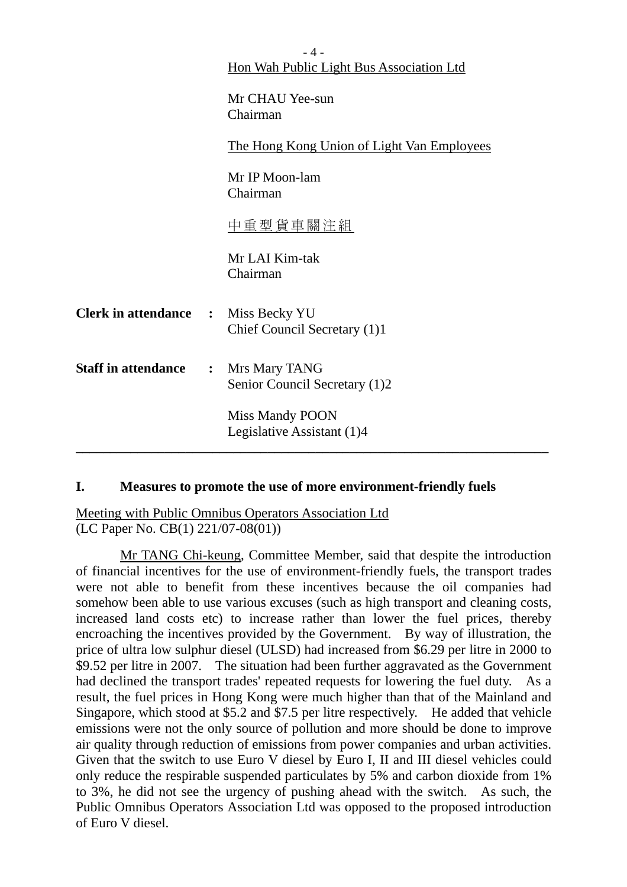|                              |                | $-4-$<br>Hon Wah Public Light Bus Association Ltd    |
|------------------------------|----------------|------------------------------------------------------|
|                              |                | Mr CHAU Yee-sun<br>Chairman                          |
|                              |                | The Hong Kong Union of Light Van Employees           |
|                              |                | Mr IP Moon-lam<br>Chairman                           |
|                              |                | 中重型貨車關注組                                             |
|                              |                | Mr LAI Kim-tak<br>Chairman                           |
| <b>Clerk in attendance :</b> |                | Miss Becky YU<br>Chief Council Secretary (1)1        |
| <b>Staff in attendance</b>   | $\ddot{\cdot}$ | Mrs Mary TANG<br>Senior Council Secretary (1)2       |
|                              |                | <b>Miss Mandy POON</b><br>Legislative Assistant (1)4 |
|                              |                |                                                      |

#### **I. Measures to promote the use of more environment-friendly fuels**

Meeting with Public Omnibus Operators Association Ltd (LC Paper No. CB(1) 221/07-08(01))

 Mr TANG Chi-keung, Committee Member, said that despite the introduction of financial incentives for the use of environment-friendly fuels, the transport trades were not able to benefit from these incentives because the oil companies had somehow been able to use various excuses (such as high transport and cleaning costs, increased land costs etc) to increase rather than lower the fuel prices, thereby encroaching the incentives provided by the Government. By way of illustration, the price of ultra low sulphur diesel (ULSD) had increased from \$6.29 per litre in 2000 to \$9.52 per litre in 2007. The situation had been further aggravated as the Government had declined the transport trades' repeated requests for lowering the fuel duty. As a result, the fuel prices in Hong Kong were much higher than that of the Mainland and Singapore, which stood at \$5.2 and \$7.5 per litre respectively. He added that vehicle emissions were not the only source of pollution and more should be done to improve air quality through reduction of emissions from power companies and urban activities. Given that the switch to use Euro V diesel by Euro I, II and III diesel vehicles could only reduce the respirable suspended particulates by 5% and carbon dioxide from 1% to 3%, he did not see the urgency of pushing ahead with the switch. As such, the Public Omnibus Operators Association Ltd was opposed to the proposed introduction of Euro V diesel.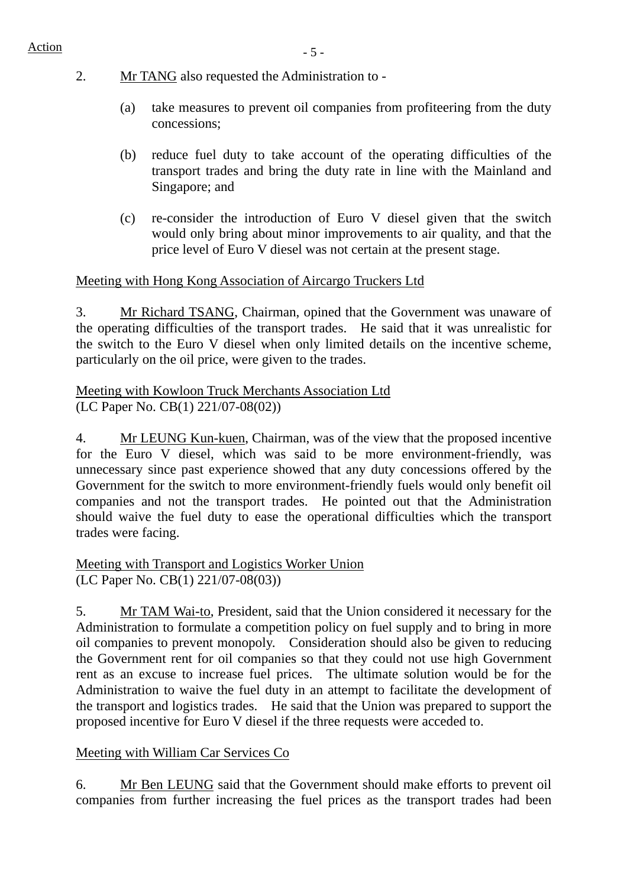- 2. Mr TANG also requested the Administration to
	- (a) take measures to prevent oil companies from profiteering from the duty concessions;
	- (b) reduce fuel duty to take account of the operating difficulties of the transport trades and bring the duty rate in line with the Mainland and Singapore; and
	- (c) re-consider the introduction of Euro V diesel given that the switch would only bring about minor improvements to air quality, and that the price level of Euro V diesel was not certain at the present stage.

### Meeting with Hong Kong Association of Aircargo Truckers Ltd

3. Mr Richard TSANG, Chairman, opined that the Government was unaware of the operating difficulties of the transport trades. He said that it was unrealistic for the switch to the Euro V diesel when only limited details on the incentive scheme, particularly on the oil price, were given to the trades.

### Meeting with Kowloon Truck Merchants Association Ltd (LC Paper No. CB(1) 221/07-08(02))

4. Mr LEUNG Kun-kuen, Chairman, was of the view that the proposed incentive for the Euro V diesel, which was said to be more environment-friendly, was unnecessary since past experience showed that any duty concessions offered by the Government for the switch to more environment-friendly fuels would only benefit oil companies and not the transport trades. He pointed out that the Administration should waive the fuel duty to ease the operational difficulties which the transport trades were facing.

Meeting with Transport and Logistics Worker Union (LC Paper No. CB(1) 221/07-08(03))

5. Mr TAM Wai-to, President, said that the Union considered it necessary for the Administration to formulate a competition policy on fuel supply and to bring in more oil companies to prevent monopoly. Consideration should also be given to reducing the Government rent for oil companies so that they could not use high Government rent as an excuse to increase fuel prices. The ultimate solution would be for the Administration to waive the fuel duty in an attempt to facilitate the development of the transport and logistics trades. He said that the Union was prepared to support the proposed incentive for Euro V diesel if the three requests were acceded to.

## Meeting with William Car Services Co

6. Mr Ben LEUNG said that the Government should make efforts to prevent oil companies from further increasing the fuel prices as the transport trades had been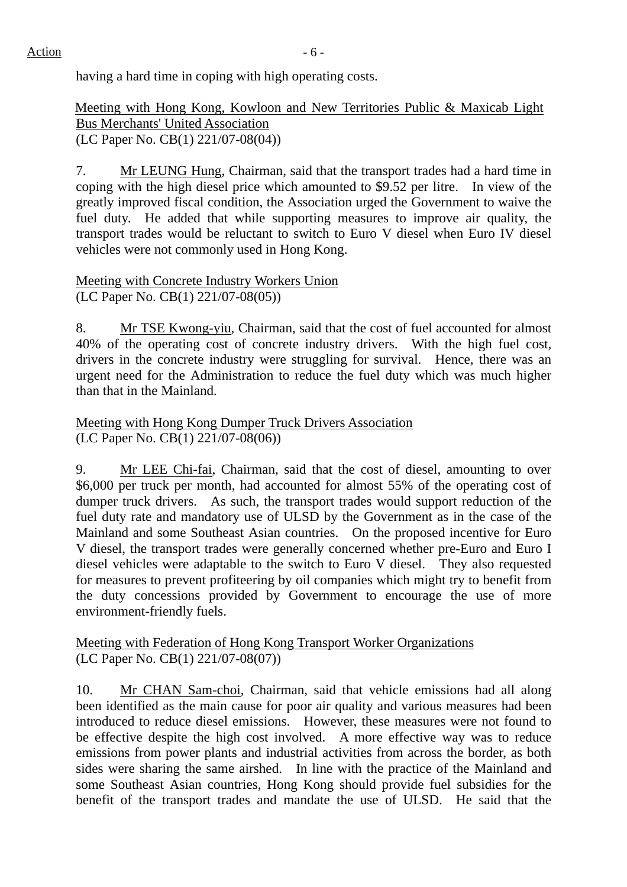having a hard time in coping with high operating costs.

Meeting with Hong Kong, Kowloon and New Territories Public & Maxicab Light Bus Merchants' United Association (LC Paper No. CB(1) 221/07-08(04))

7. Mr LEUNG Hung, Chairman, said that the transport trades had a hard time in coping with the high diesel price which amounted to \$9.52 per litre. In view of the greatly improved fiscal condition, the Association urged the Government to waive the fuel duty. He added that while supporting measures to improve air quality, the transport trades would be reluctant to switch to Euro V diesel when Euro IV diesel vehicles were not commonly used in Hong Kong.

Meeting with Concrete Industry Workers Union (LC Paper No. CB(1) 221/07-08(05))

8. Mr TSE Kwong-yiu, Chairman, said that the cost of fuel accounted for almost 40% of the operating cost of concrete industry drivers. With the high fuel cost, drivers in the concrete industry were struggling for survival. Hence, there was an urgent need for the Administration to reduce the fuel duty which was much higher than that in the Mainland.

Meeting with Hong Kong Dumper Truck Drivers Association (LC Paper No. CB(1) 221/07-08(06))

9. Mr LEE Chi-fai, Chairman, said that the cost of diesel, amounting to over \$6,000 per truck per month, had accounted for almost 55% of the operating cost of dumper truck drivers. As such, the transport trades would support reduction of the fuel duty rate and mandatory use of ULSD by the Government as in the case of the Mainland and some Southeast Asian countries. On the proposed incentive for Euro V diesel, the transport trades were generally concerned whether pre-Euro and Euro I diesel vehicles were adaptable to the switch to Euro V diesel. They also requested for measures to prevent profiteering by oil companies which might try to benefit from the duty concessions provided by Government to encourage the use of more environment-friendly fuels.

Meeting with Federation of Hong Kong Transport Worker Organizations (LC Paper No. CB(1) 221/07-08(07))

10. Mr CHAN Sam-choi, Chairman, said that vehicle emissions had all along been identified as the main cause for poor air quality and various measures had been introduced to reduce diesel emissions. However, these measures were not found to be effective despite the high cost involved. A more effective way was to reduce emissions from power plants and industrial activities from across the border, as both sides were sharing the same airshed. In line with the practice of the Mainland and some Southeast Asian countries, Hong Kong should provide fuel subsidies for the benefit of the transport trades and mandate the use of ULSD. He said that the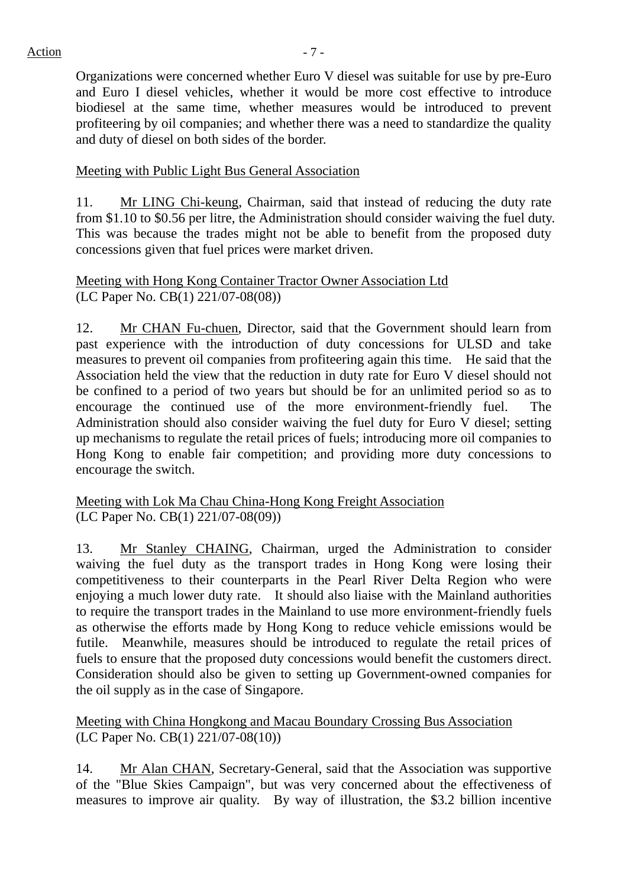Organizations were concerned whether Euro V diesel was suitable for use by pre-Euro and Euro I diesel vehicles, whether it would be more cost effective to introduce biodiesel at the same time, whether measures would be introduced to prevent profiteering by oil companies; and whether there was a need to standardize the quality and duty of diesel on both sides of the border.

#### Meeting with Public Light Bus General Association

11. Mr LING Chi-keung, Chairman, said that instead of reducing the duty rate from \$1.10 to \$0.56 per litre, the Administration should consider waiving the fuel duty. This was because the trades might not be able to benefit from the proposed duty concessions given that fuel prices were market driven.

Meeting with Hong Kong Container Tractor Owner Association Ltd (LC Paper No. CB(1) 221/07-08(08))

12. Mr CHAN Fu-chuen, Director, said that the Government should learn from past experience with the introduction of duty concessions for ULSD and take measures to prevent oil companies from profiteering again this time. He said that the Association held the view that the reduction in duty rate for Euro V diesel should not be confined to a period of two years but should be for an unlimited period so as to encourage the continued use of the more environment-friendly fuel. The Administration should also consider waiving the fuel duty for Euro V diesel; setting up mechanisms to regulate the retail prices of fuels; introducing more oil companies to Hong Kong to enable fair competition; and providing more duty concessions to encourage the switch.

Meeting with Lok Ma Chau China-Hong Kong Freight Association (LC Paper No. CB(1) 221/07-08(09))

13. Mr Stanley CHAING, Chairman, urged the Administration to consider waiving the fuel duty as the transport trades in Hong Kong were losing their competitiveness to their counterparts in the Pearl River Delta Region who were enjoying a much lower duty rate. It should also liaise with the Mainland authorities to require the transport trades in the Mainland to use more environment-friendly fuels as otherwise the efforts made by Hong Kong to reduce vehicle emissions would be futile. Meanwhile, measures should be introduced to regulate the retail prices of fuels to ensure that the proposed duty concessions would benefit the customers direct. Consideration should also be given to setting up Government-owned companies for the oil supply as in the case of Singapore.

Meeting with China Hongkong and Macau Boundary Crossing Bus Association (LC Paper No. CB(1) 221/07-08(10))

14. Mr Alan CHAN, Secretary-General, said that the Association was supportive of the "Blue Skies Campaign", but was very concerned about the effectiveness of measures to improve air quality. By way of illustration, the \$3.2 billion incentive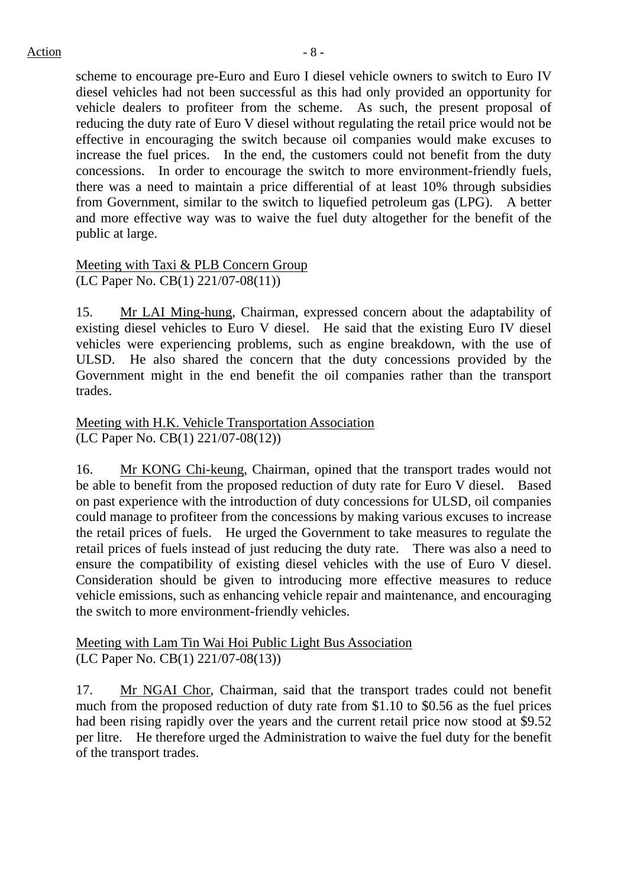scheme to encourage pre-Euro and Euro I diesel vehicle owners to switch to Euro IV diesel vehicles had not been successful as this had only provided an opportunity for vehicle dealers to profiteer from the scheme. As such, the present proposal of reducing the duty rate of Euro V diesel without regulating the retail price would not be effective in encouraging the switch because oil companies would make excuses to increase the fuel prices. In the end, the customers could not benefit from the duty concessions. In order to encourage the switch to more environment-friendly fuels, there was a need to maintain a price differential of at least 10% through subsidies from Government, similar to the switch to liquefied petroleum gas (LPG). A better and more effective way was to waive the fuel duty altogether for the benefit of the public at large.

Meeting with Taxi & PLB Concern Group (LC Paper No. CB(1) 221/07-08(11))

15. Mr LAI Ming-hung, Chairman, expressed concern about the adaptability of existing diesel vehicles to Euro V diesel. He said that the existing Euro IV diesel vehicles were experiencing problems, such as engine breakdown, with the use of ULSD. He also shared the concern that the duty concessions provided by the Government might in the end benefit the oil companies rather than the transport trades.

Meeting with H.K. Vehicle Transportation Association (LC Paper No. CB(1) 221/07-08(12))

16. Mr KONG Chi-keung, Chairman, opined that the transport trades would not be able to benefit from the proposed reduction of duty rate for Euro V diesel. Based on past experience with the introduction of duty concessions for ULSD, oil companies could manage to profiteer from the concessions by making various excuses to increase the retail prices of fuels. He urged the Government to take measures to regulate the retail prices of fuels instead of just reducing the duty rate. There was also a need to ensure the compatibility of existing diesel vehicles with the use of Euro V diesel. Consideration should be given to introducing more effective measures to reduce vehicle emissions, such as enhancing vehicle repair and maintenance, and encouraging the switch to more environment-friendly vehicles.

Meeting with Lam Tin Wai Hoi Public Light Bus Association (LC Paper No. CB(1) 221/07-08(13))

17. Mr NGAI Chor, Chairman, said that the transport trades could not benefit much from the proposed reduction of duty rate from \$1.10 to \$0.56 as the fuel prices had been rising rapidly over the years and the current retail price now stood at \$9.52 per litre. He therefore urged the Administration to waive the fuel duty for the benefit of the transport trades.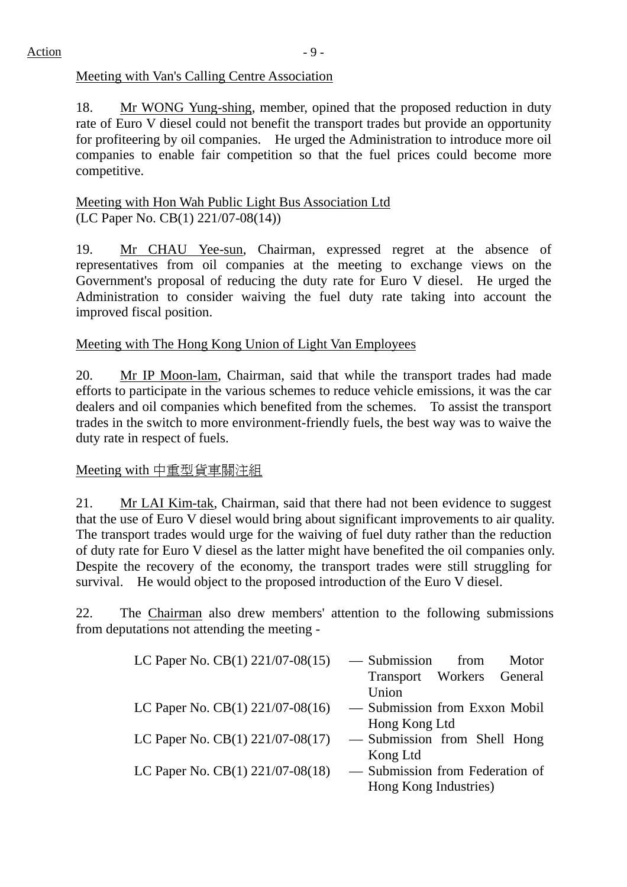### Meeting with Van's Calling Centre Association

18. Mr WONG Yung-shing, member, opined that the proposed reduction in duty rate of Euro V diesel could not benefit the transport trades but provide an opportunity for profiteering by oil companies. He urged the Administration to introduce more oil companies to enable fair competition so that the fuel prices could become more competitive.

#### Meeting with Hon Wah Public Light Bus Association Ltd (LC Paper No. CB(1) 221/07-08(14))

19. Mr CHAU Yee-sun, Chairman, expressed regret at the absence of representatives from oil companies at the meeting to exchange views on the Government's proposal of reducing the duty rate for Euro V diesel. He urged the Administration to consider waiving the fuel duty rate taking into account the improved fiscal position.

# Meeting with The Hong Kong Union of Light Van Employees

20. Mr IP Moon-lam, Chairman, said that while the transport trades had made efforts to participate in the various schemes to reduce vehicle emissions, it was the car dealers and oil companies which benefited from the schemes. To assist the transport trades in the switch to more environment-friendly fuels, the best way was to waive the duty rate in respect of fuels.

## Meeting with 中重型貨車關注組

21. Mr LAI Kim-tak, Chairman, said that there had not been evidence to suggest that the use of Euro V diesel would bring about significant improvements to air quality. The transport trades would urge for the waiving of fuel duty rather than the reduction of duty rate for Euro V diesel as the latter might have benefited the oil companies only. Despite the recovery of the economy, the transport trades were still struggling for survival. He would object to the proposed introduction of the Euro V diesel.

22. The Chairman also drew members' attention to the following submissions from deputations not attending the meeting -

| LC Paper No. CB(1) 221/07-08(15) | — Submission<br>from<br>Motor   |
|----------------------------------|---------------------------------|
|                                  | Transport Workers General       |
|                                  | Union                           |
| LC Paper No. CB(1) 221/07-08(16) | - Submission from Exxon Mobil   |
|                                  | Hong Kong Ltd                   |
| LC Paper No. CB(1) 221/07-08(17) | - Submission from Shell Hong    |
|                                  | Kong Ltd                        |
| LC Paper No. CB(1) 221/07-08(18) | - Submission from Federation of |
|                                  | Hong Kong Industries)           |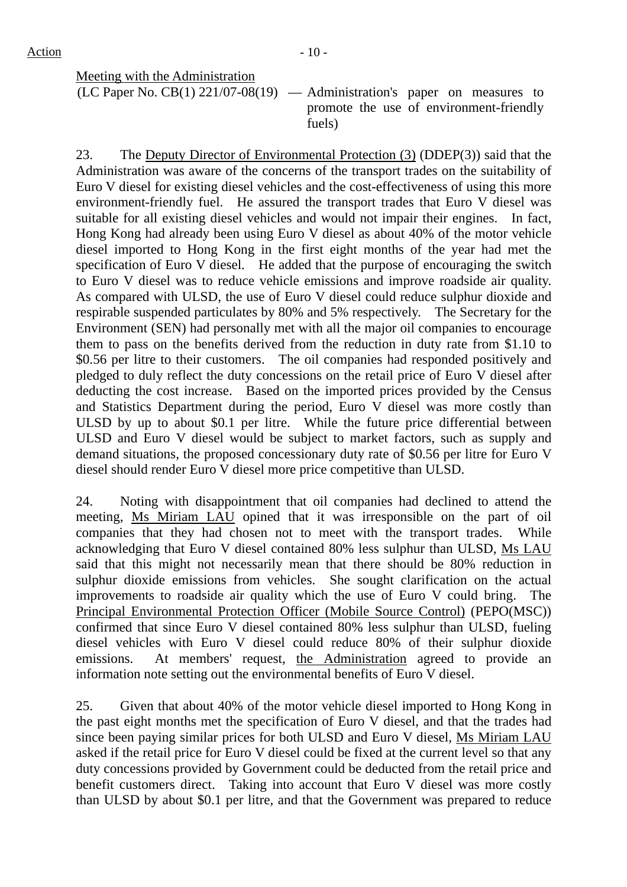Meeting with the Administration

 $\overline{(LC Paper No. CB(1) 221/07-08(19) - \overline{099}}$  Administration's paper on measures to promote the use of environment-friendly fuels)

23. The Deputy Director of Environmental Protection (3) (DDEP(3)) said that the Administration was aware of the concerns of the transport trades on the suitability of Euro V diesel for existing diesel vehicles and the cost-effectiveness of using this more environment-friendly fuel. He assured the transport trades that Euro V diesel was suitable for all existing diesel vehicles and would not impair their engines. In fact, Hong Kong had already been using Euro V diesel as about 40% of the motor vehicle diesel imported to Hong Kong in the first eight months of the year had met the specification of Euro V diesel. He added that the purpose of encouraging the switch to Euro V diesel was to reduce vehicle emissions and improve roadside air quality. As compared with ULSD, the use of Euro V diesel could reduce sulphur dioxide and respirable suspended particulates by 80% and 5% respectively. The Secretary for the Environment (SEN) had personally met with all the major oil companies to encourage them to pass on the benefits derived from the reduction in duty rate from \$1.10 to \$0.56 per litre to their customers. The oil companies had responded positively and pledged to duly reflect the duty concessions on the retail price of Euro V diesel after deducting the cost increase. Based on the imported prices provided by the Census and Statistics Department during the period, Euro V diesel was more costly than ULSD by up to about \$0.1 per litre. While the future price differential between ULSD and Euro V diesel would be subject to market factors, such as supply and demand situations, the proposed concessionary duty rate of \$0.56 per litre for Euro V diesel should render Euro V diesel more price competitive than ULSD.

24. Noting with disappointment that oil companies had declined to attend the meeting, Ms Miriam LAU opined that it was irresponsible on the part of oil companies that they had chosen not to meet with the transport trades. While acknowledging that Euro V diesel contained 80% less sulphur than ULSD, Ms LAU said that this might not necessarily mean that there should be 80% reduction in sulphur dioxide emissions from vehicles. She sought clarification on the actual improvements to roadside air quality which the use of Euro V could bring. The Principal Environmental Protection Officer (Mobile Source Control) (PEPO(MSC)) confirmed that since Euro V diesel contained 80% less sulphur than ULSD, fueling diesel vehicles with Euro V diesel could reduce 80% of their sulphur dioxide emissions. At members' request, the Administration agreed to provide an information note setting out the environmental benefits of Euro V diesel.

25. Given that about 40% of the motor vehicle diesel imported to Hong Kong in the past eight months met the specification of Euro V diesel, and that the trades had since been paying similar prices for both ULSD and Euro V diesel, Ms Miriam LAU asked if the retail price for Euro V diesel could be fixed at the current level so that any duty concessions provided by Government could be deducted from the retail price and benefit customers direct. Taking into account that Euro V diesel was more costly than ULSD by about \$0.1 per litre, and that the Government was prepared to reduce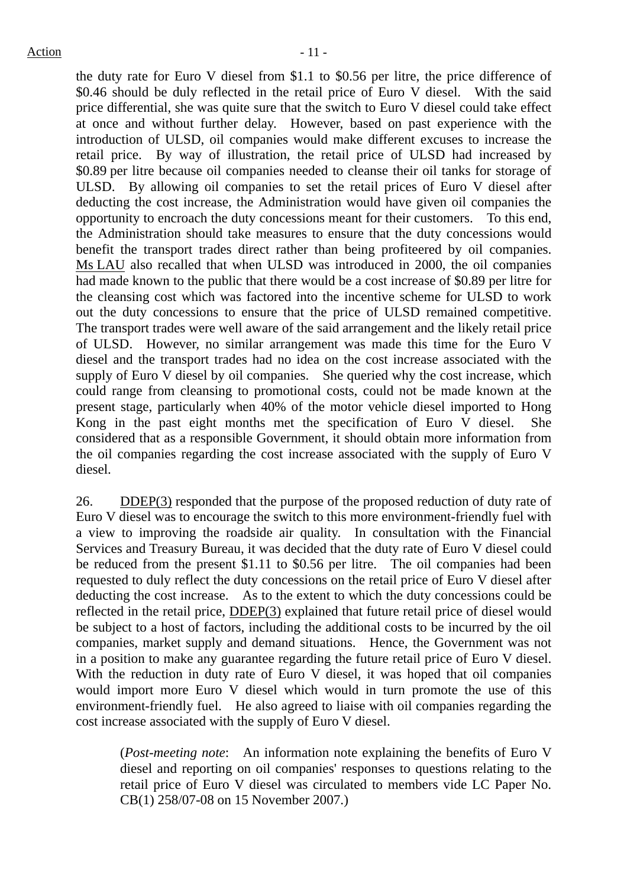the duty rate for Euro V diesel from \$1.1 to \$0.56 per litre, the price difference of \$0.46 should be duly reflected in the retail price of Euro V diesel. With the said price differential, she was quite sure that the switch to Euro V diesel could take effect at once and without further delay. However, based on past experience with the introduction of ULSD, oil companies would make different excuses to increase the retail price. By way of illustration, the retail price of ULSD had increased by \$0.89 per litre because oil companies needed to cleanse their oil tanks for storage of ULSD. By allowing oil companies to set the retail prices of Euro V diesel after deducting the cost increase, the Administration would have given oil companies the opportunity to encroach the duty concessions meant for their customers. To this end, the Administration should take measures to ensure that the duty concessions would benefit the transport trades direct rather than being profiteered by oil companies. Ms LAU also recalled that when ULSD was introduced in 2000, the oil companies had made known to the public that there would be a cost increase of \$0.89 per litre for the cleansing cost which was factored into the incentive scheme for ULSD to work out the duty concessions to ensure that the price of ULSD remained competitive. The transport trades were well aware of the said arrangement and the likely retail price of ULSD. However, no similar arrangement was made this time for the Euro V diesel and the transport trades had no idea on the cost increase associated with the supply of Euro V diesel by oil companies. She queried why the cost increase, which could range from cleansing to promotional costs, could not be made known at the present stage, particularly when 40% of the motor vehicle diesel imported to Hong Kong in the past eight months met the specification of Euro V diesel. She considered that as a responsible Government, it should obtain more information from the oil companies regarding the cost increase associated with the supply of Euro V diesel.

26. DDEP(3) responded that the purpose of the proposed reduction of duty rate of Euro V diesel was to encourage the switch to this more environment-friendly fuel with a view to improving the roadside air quality. In consultation with the Financial Services and Treasury Bureau, it was decided that the duty rate of Euro V diesel could be reduced from the present \$1.11 to \$0.56 per litre. The oil companies had been requested to duly reflect the duty concessions on the retail price of Euro V diesel after deducting the cost increase. As to the extent to which the duty concessions could be reflected in the retail price, DDEP(3) explained that future retail price of diesel would be subject to a host of factors, including the additional costs to be incurred by the oil companies, market supply and demand situations. Hence, the Government was not in a position to make any guarantee regarding the future retail price of Euro V diesel. With the reduction in duty rate of Euro V diesel, it was hoped that oil companies would import more Euro V diesel which would in turn promote the use of this environment-friendly fuel. He also agreed to liaise with oil companies regarding the cost increase associated with the supply of Euro V diesel.

(*Post-meeting note*: An information note explaining the benefits of Euro V diesel and reporting on oil companies' responses to questions relating to the retail price of Euro V diesel was circulated to members vide LC Paper No. CB(1) 258/07-08 on 15 November 2007.)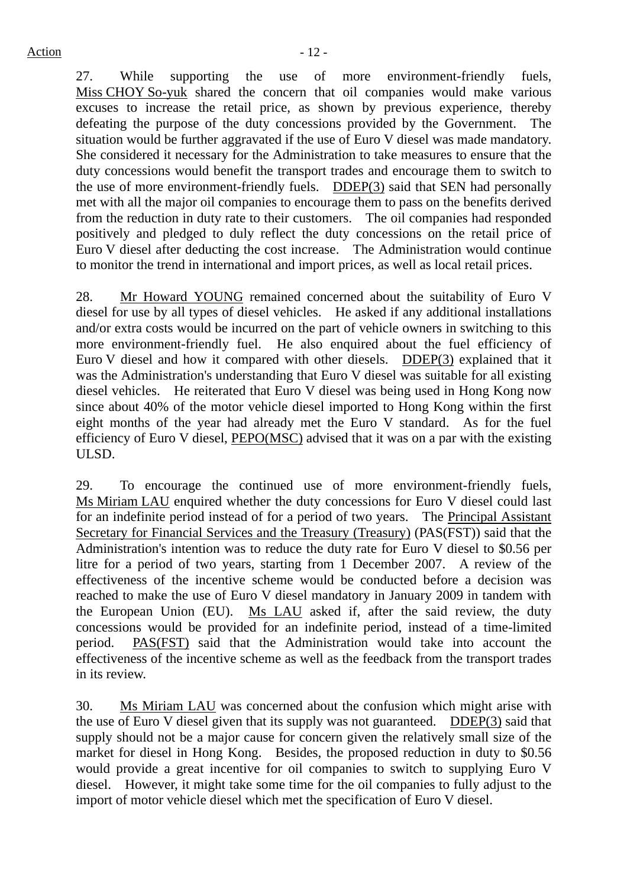27. While supporting the use of more environment-friendly fuels, Miss CHOY So-yuk shared the concern that oil companies would make various excuses to increase the retail price, as shown by previous experience, thereby defeating the purpose of the duty concessions provided by the Government. The situation would be further aggravated if the use of Euro V diesel was made mandatory. She considered it necessary for the Administration to take measures to ensure that the duty concessions would benefit the transport trades and encourage them to switch to the use of more environment-friendly fuels. DDEP(3) said that SEN had personally met with all the major oil companies to encourage them to pass on the benefits derived from the reduction in duty rate to their customers. The oil companies had responded positively and pledged to duly reflect the duty concessions on the retail price of Euro V diesel after deducting the cost increase. The Administration would continue to monitor the trend in international and import prices, as well as local retail prices.

28. Mr Howard YOUNG remained concerned about the suitability of Euro V diesel for use by all types of diesel vehicles. He asked if any additional installations and/or extra costs would be incurred on the part of vehicle owners in switching to this more environment-friendly fuel. He also enquired about the fuel efficiency of Euro V diesel and how it compared with other diesels. DDEP(3) explained that it was the Administration's understanding that Euro V diesel was suitable for all existing diesel vehicles. He reiterated that Euro V diesel was being used in Hong Kong now since about 40% of the motor vehicle diesel imported to Hong Kong within the first eight months of the year had already met the Euro V standard. As for the fuel efficiency of Euro V diesel, PEPO(MSC) advised that it was on a par with the existing ULSD.

29. To encourage the continued use of more environment-friendly fuels, Ms Miriam LAU enquired whether the duty concessions for Euro V diesel could last for an indefinite period instead of for a period of two years. The Principal Assistant Secretary for Financial Services and the Treasury (Treasury) (PAS(FST)) said that the Administration's intention was to reduce the duty rate for Euro V diesel to \$0.56 per litre for a period of two years, starting from 1 December 2007. A review of the effectiveness of the incentive scheme would be conducted before a decision was reached to make the use of Euro V diesel mandatory in January 2009 in tandem with the European Union (EU). Ms LAU asked if, after the said review, the duty concessions would be provided for an indefinite period, instead of a time-limited period. PAS(FST) said that the Administration would take into account the effectiveness of the incentive scheme as well as the feedback from the transport trades in its review.

30. Ms Miriam LAU was concerned about the confusion which might arise with the use of Euro V diesel given that its supply was not guaranteed. DDEP(3) said that supply should not be a major cause for concern given the relatively small size of the market for diesel in Hong Kong. Besides, the proposed reduction in duty to \$0.56 would provide a great incentive for oil companies to switch to supplying Euro V diesel. However, it might take some time for the oil companies to fully adjust to the import of motor vehicle diesel which met the specification of Euro V diesel.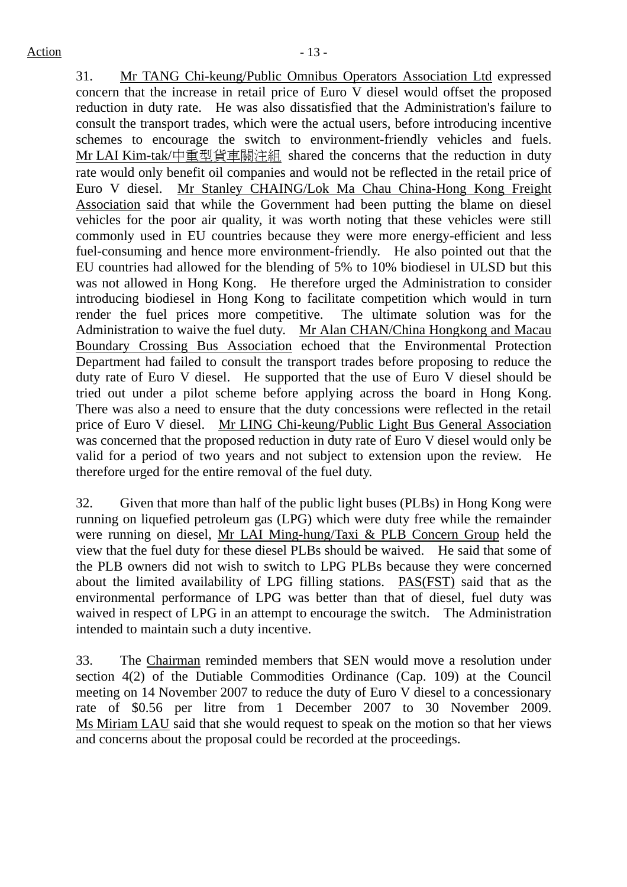31. Mr TANG Chi-keung/Public Omnibus Operators Association Ltd expressed concern that the increase in retail price of Euro V diesel would offset the proposed reduction in duty rate. He was also dissatisfied that the Administration's failure to consult the transport trades, which were the actual users, before introducing incentive schemes to encourage the switch to environment-friendly vehicles and fuels. Mr LAI Kim-tak/中重型貨車關注組 shared the concerns that the reduction in duty rate would only benefit oil companies and would not be reflected in the retail price of Euro V diesel. Mr Stanley CHAING/Lok Ma Chau China-Hong Kong Freight Association said that while the Government had been putting the blame on diesel vehicles for the poor air quality, it was worth noting that these vehicles were still commonly used in EU countries because they were more energy-efficient and less fuel-consuming and hence more environment-friendly. He also pointed out that the EU countries had allowed for the blending of 5% to 10% biodiesel in ULSD but this was not allowed in Hong Kong. He therefore urged the Administration to consider introducing biodiesel in Hong Kong to facilitate competition which would in turn render the fuel prices more competitive. The ultimate solution was for the Administration to waive the fuel duty. Mr Alan CHAN/China Hongkong and Macau Boundary Crossing Bus Association echoed that the Environmental Protection Department had failed to consult the transport trades before proposing to reduce the duty rate of Euro V diesel. He supported that the use of Euro V diesel should be tried out under a pilot scheme before applying across the board in Hong Kong. There was also a need to ensure that the duty concessions were reflected in the retail price of Euro V diesel. Mr LING Chi-keung/Public Light Bus General Association was concerned that the proposed reduction in duty rate of Euro V diesel would only be valid for a period of two years and not subject to extension upon the review. He therefore urged for the entire removal of the fuel duty.

32. Given that more than half of the public light buses (PLBs) in Hong Kong were running on liquefied petroleum gas (LPG) which were duty free while the remainder were running on diesel, Mr LAI Ming-hung/Taxi & PLB Concern Group held the view that the fuel duty for these diesel PLBs should be waived. He said that some of the PLB owners did not wish to switch to LPG PLBs because they were concerned about the limited availability of LPG filling stations. PAS(FST) said that as the environmental performance of LPG was better than that of diesel, fuel duty was waived in respect of LPG in an attempt to encourage the switch. The Administration intended to maintain such a duty incentive.

33. The Chairman reminded members that SEN would move a resolution under section 4(2) of the Dutiable Commodities Ordinance (Cap. 109) at the Council meeting on 14 November 2007 to reduce the duty of Euro V diesel to a concessionary rate of \$0.56 per litre from 1 December 2007 to 30 November 2009. Ms Miriam LAU said that she would request to speak on the motion so that her views and concerns about the proposal could be recorded at the proceedings.